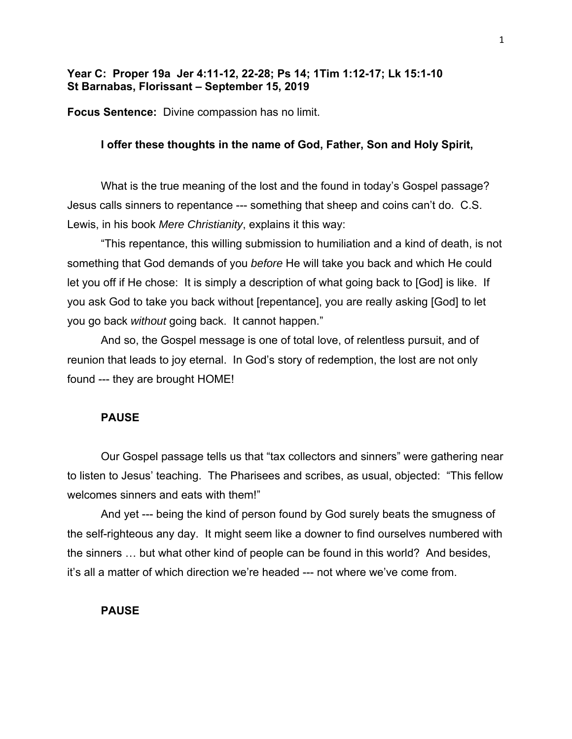# **Year C: Proper 19a Jer 4:11-12, 22-28; Ps 14; 1Tim 1:12-17; Lk 15:1-10 St Barnabas, Florissant – September 15, 2019**

**Focus Sentence:** Divine compassion has no limit.

## **I offer these thoughts in the name of God, Father, Son and Holy Spirit,**

What is the true meaning of the lost and the found in today's Gospel passage? Jesus calls sinners to repentance --- something that sheep and coins can't do. C.S. Lewis, in his book *Mere Christianity*, explains it this way:

"This repentance, this willing submission to humiliation and a kind of death, is not something that God demands of you *before* He will take you back and which He could let you off if He chose: It is simply a description of what going back to [God] is like. If you ask God to take you back without [repentance], you are really asking [God] to let you go back *without* going back. It cannot happen."

And so, the Gospel message is one of total love, of relentless pursuit, and of reunion that leads to joy eternal. In God's story of redemption, the lost are not only found --- they are brought HOME!

### **PAUSE**

Our Gospel passage tells us that "tax collectors and sinners" were gathering near to listen to Jesus' teaching. The Pharisees and scribes, as usual, objected: "This fellow welcomes sinners and eats with them!"

And yet --- being the kind of person found by God surely beats the smugness of the self-righteous any day. It might seem like a downer to find ourselves numbered with the sinners … but what other kind of people can be found in this world? And besides, it's all a matter of which direction we're headed --- not where we've come from.

### **PAUSE**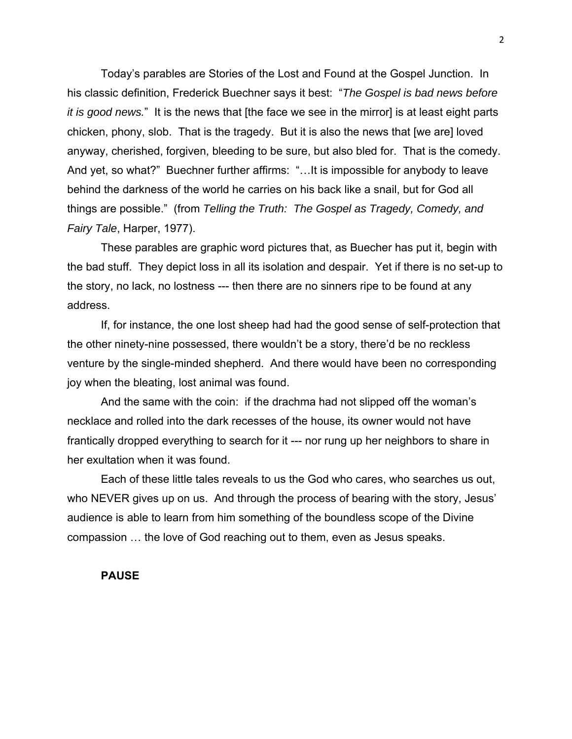Today's parables are Stories of the Lost and Found at the Gospel Junction. In his classic definition, Frederick Buechner says it best: "*The Gospel is bad news before it is good news.*" It is the news that [the face we see in the mirror] is at least eight parts chicken, phony, slob. That is the tragedy. But it is also the news that [we are] loved anyway, cherished, forgiven, bleeding to be sure, but also bled for. That is the comedy. And yet, so what?" Buechner further affirms: "…It is impossible for anybody to leave behind the darkness of the world he carries on his back like a snail, but for God all things are possible." (from *Telling the Truth: The Gospel as Tragedy, Comedy, and Fairy Tale*, Harper, 1977).

These parables are graphic word pictures that, as Buecher has put it, begin with the bad stuff. They depict loss in all its isolation and despair. Yet if there is no set-up to the story, no lack, no lostness --- then there are no sinners ripe to be found at any address.

If, for instance, the one lost sheep had had the good sense of self-protection that the other ninety-nine possessed, there wouldn't be a story, there'd be no reckless venture by the single-minded shepherd. And there would have been no corresponding joy when the bleating, lost animal was found.

And the same with the coin: if the drachma had not slipped off the woman's necklace and rolled into the dark recesses of the house, its owner would not have frantically dropped everything to search for it --- nor rung up her neighbors to share in her exultation when it was found.

Each of these little tales reveals to us the God who cares, who searches us out, who NEVER gives up on us. And through the process of bearing with the story, Jesus' audience is able to learn from him something of the boundless scope of the Divine compassion … the love of God reaching out to them, even as Jesus speaks.

### **PAUSE**